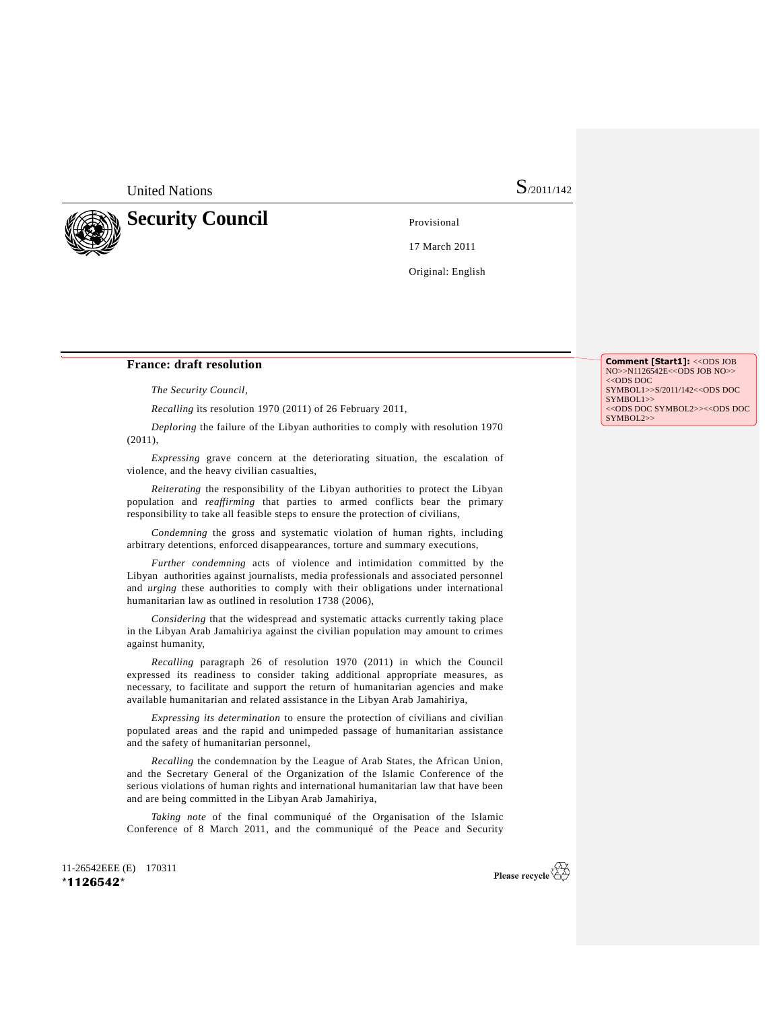

# **Security Council** Provisional

United Nations S<sub>/2011/142</sub>

17 March 2011

Original: English

# **France: draft resolution**

*The Security Council*,

*Recalling* its resolution 1970 (2011) of 26 February 2011,

*Deploring* the failure of the Libyan authorities to comply with resolution 1970 (2011),

*Expressing* grave concern at the deteriorating situation, the escalation of violence, and the heavy civilian casualties,

*Reiterating* the responsibility of the Libyan authorities to protect the Libyan population and *reaffirming* that parties to armed conflicts bear the primary responsibility to take all feasible steps to ensure the protection of civilians,

*Condemning* the gross and systematic violation of human rights, including arbitrary detentions, enforced disappearances, torture and summary executions,

*Further condemning* acts of violence and intimidation committed by the Libyan authorities against journalists, media professionals and associated personnel and *urging* these authorities to comply with their obligations under international humanitarian law as outlined in resolution 1738 (2006),

*Considering* that the widespread and systematic attacks currently taking place in the Libyan Arab Jamahiriya against the civilian population may amount to crimes against humanity,

*Recalling* paragraph 26 of resolution 1970 (2011) in which the Council expressed its readiness to consider taking additional appropriate measures, as necessary, to facilitate and support the return of humanitarian agencies and make available humanitarian and related assistance in the Libyan Arab Jamahiriya,

*Expressing its determination* to ensure the protection of civilians and civilian populated areas and the rapid and unimpeded passage of humanitarian assistance and the safety of humanitarian personnel,

*Recalling* the condemnation by the League of Arab States, the African Union, and the Secretary General of the Organization of the Islamic Conference of the serious violations of human rights and international humanitarian law that have been and are being committed in the Libyan Arab Jamahiriya,

*Taking note* of the final communiqué of the Organisation of the Islamic Conference of 8 March 2011, and the communiqué of the Peace and Security

11-26542EEE (E) 170311 **\*1126542\***



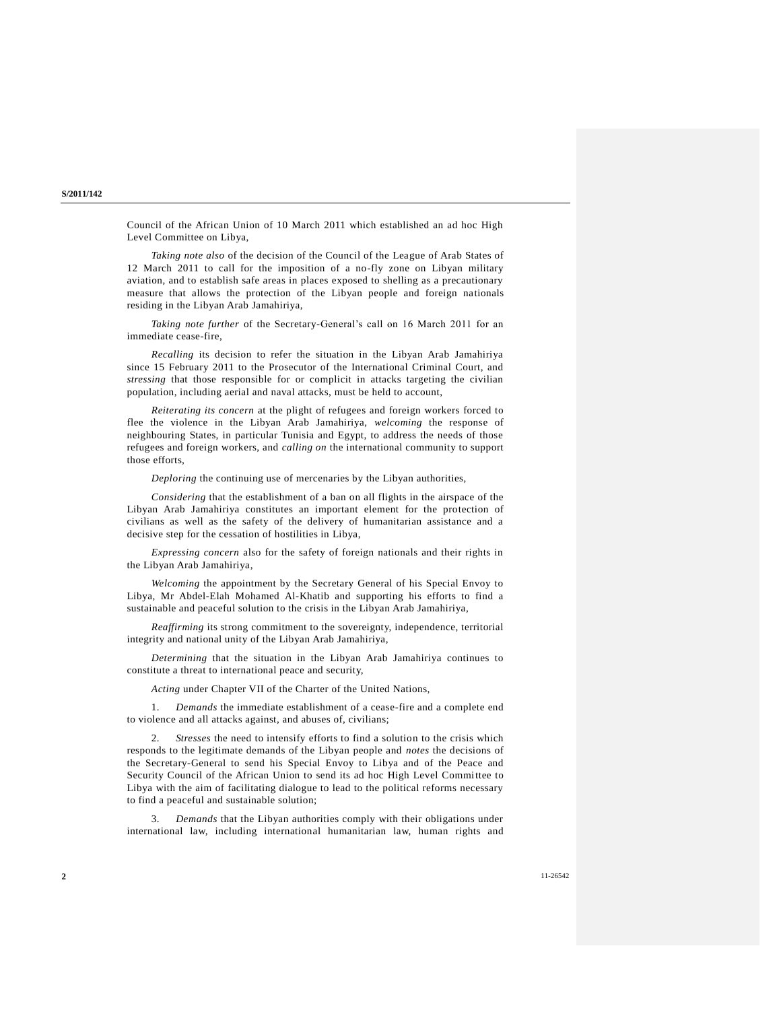Council of the African Union of 10 March 2011 which established an ad hoc High Level Committee on Libya,

*Taking note also* of the decision of the Council of the League of Arab States of 12 March 2011 to call for the imposition of a no-fly zone on Libyan military aviation, and to establish safe areas in places exposed to shelling as a precautionary measure that allows the protection of the Libyan people and foreign nationals residing in the Libyan Arab Jamahiriya,

*Taking note further* of the Secretary-General's call on 16 March 2011 for an immediate cease-fire,

*Recalling* its decision to refer the situation in the Libyan Arab Jamahiriya since 15 February 2011 to the Prosecutor of the International Criminal Court, and *stressing* that those responsible for or complicit in attacks targeting the civilian population, including aerial and naval attacks, must be held to account,

*Reiterating its concern* at the plight of refugees and foreign workers forced to flee the violence in the Libyan Arab Jamahiriya, *welcoming* the response of neighbouring States, in particular Tunisia and Egypt, to address the needs of those refugees and foreign workers, and *calling on* the international community to support those efforts,

*Deploring* the continuing use of mercenaries by the Libyan authorities,

*Considering* that the establishment of a ban on all flights in the airspace of the Libyan Arab Jamahiriya constitutes an important element for the protection of civilians as well as the safety of the delivery of humanitarian assistance and a decisive step for the cessation of hostilities in Libya,

*Expressing concern* also for the safety of foreign nationals and their rights in the Libyan Arab Jamahiriya,

*Welcoming* the appointment by the Secretary General of his Special Envoy to Libya, Mr Abdel-Elah Mohamed Al-Khatib and supporting his efforts to find a sustainable and peaceful solution to the crisis in the Libyan Arab Jamahiriya,

*Reaffirming* its strong commitment to the sovereignty, independence, territorial integrity and national unity of the Libyan Arab Jamahiriya,

*Determining* that the situation in the Libyan Arab Jamahiriya continues to constitute a threat to international peace and security,

*Acting* under Chapter VII of the Charter of the United Nations,

1. *Demands* the immediate establishment of a cease-fire and a complete end to violence and all attacks against, and abuses of, civilians;

2. *Stresses* the need to intensify efforts to find a solution to the crisis which responds to the legitimate demands of the Libyan people and *notes* the decisions of the Secretary-General to send his Special Envoy to Libya and of the Peace and Security Council of the African Union to send its ad hoc High Level Committee to Libya with the aim of facilitating dialogue to lead to the political reforms necessary to find a peaceful and sustainable solution;

3. *Demands* that the Libyan authorities comply with their obligations under international law, including international humanitarian law, human rights and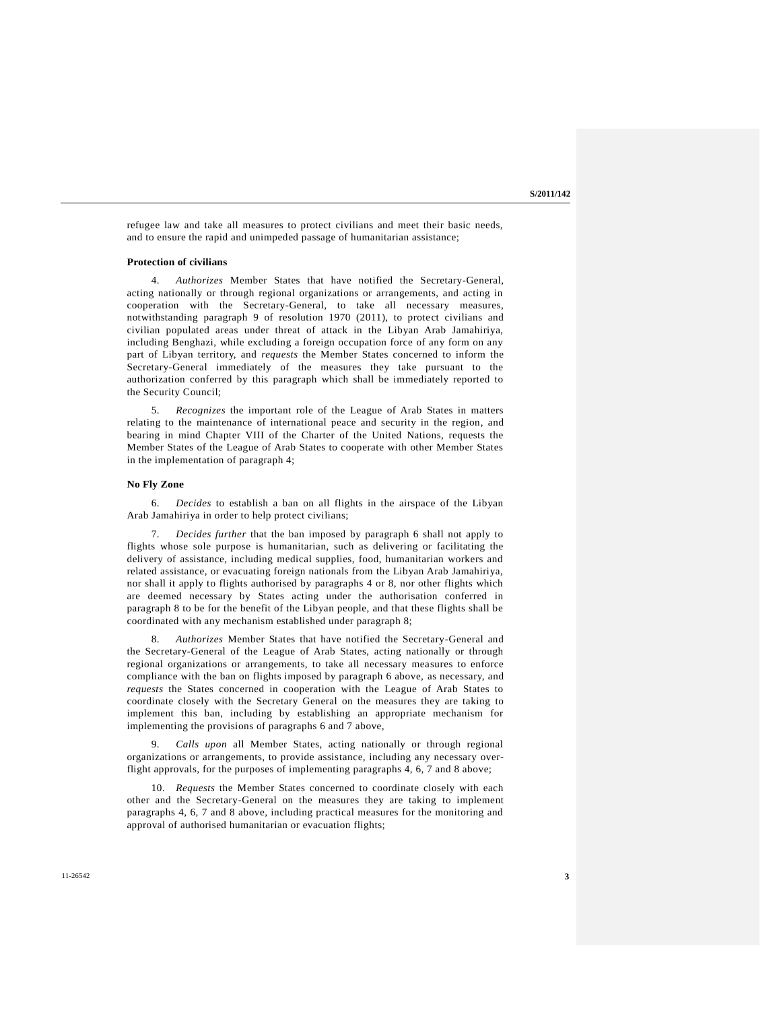refugee law and take all measures to protect civilians and meet their basic needs, and to ensure the rapid and unimpeded passage of humanitarian assistance;

#### **Protection of civilians**

4. *Authorizes* Member States that have notified the Secretary-General, acting nationally or through regional organizations or arrangements, and acting in cooperation with the Secretary-General, to take all necessary measures, notwithstanding paragraph 9 of resolution 1970 (2011), to protect civilians and civilian populated areas under threat of attack in the Libyan Arab Jamahiriya, including Benghazi, while excluding a foreign occupation force of any form on any part of Libyan territory, and *requests* the Member States concerned to inform the Secretary-General immediately of the measures they take pursuant to the authorization conferred by this paragraph which shall be immediately reported to the Security Council;

5. *Recognizes* the important role of the League of Arab States in matters relating to the maintenance of international peace and security in the region, and bearing in mind Chapter VIII of the Charter of the United Nations, requests the Member States of the League of Arab States to cooperate with other Member States in the implementation of paragraph 4;

#### **No Fly Zone**

6. *Decides* to establish a ban on all flights in the airspace of the Libyan Arab Jamahiriya in order to help protect civilians;

7. *Decides further* that the ban imposed by paragraph 6 shall not apply to flights whose sole purpose is humanitarian, such as delivering or facilitating the delivery of assistance, including medical supplies, food, humanitarian workers and related assistance, or evacuating foreign nationals from the Libyan Arab Jamahiriya, nor shall it apply to flights authorised by paragraphs 4 or 8, nor other flights which are deemed necessary by States acting under the authorisation conferred in paragraph 8 to be for the benefit of the Libyan people, and that these flights shall be coordinated with any mechanism established under paragraph 8;

8. *Authorizes* Member States that have notified the Secretary-General and the Secretary-General of the League of Arab States, acting nationally or through regional organizations or arrangements, to take all necessary measures to enforce compliance with the ban on flights imposed by paragraph 6 above, as necessary, and *requests* the States concerned in cooperation with the League of Arab States to coordinate closely with the Secretary General on the measures they are taking to implement this ban, including by establishing an appropriate mechanism for implementing the provisions of paragraphs 6 and 7 above,

9. *Calls upon* all Member States, acting nationally or through regional organizations or arrangements, to provide assistance, including any necessary overflight approvals, for the purposes of implementing paragraphs 4, 6, 7 and 8 above;

10. *Requests* the Member States concerned to coordinate closely with each other and the Secretary-General on the measures they are taking to implement paragraphs 4, 6, 7 and 8 above, including practical measures for the monitoring and approval of authorised humanitarian or evacuation flights;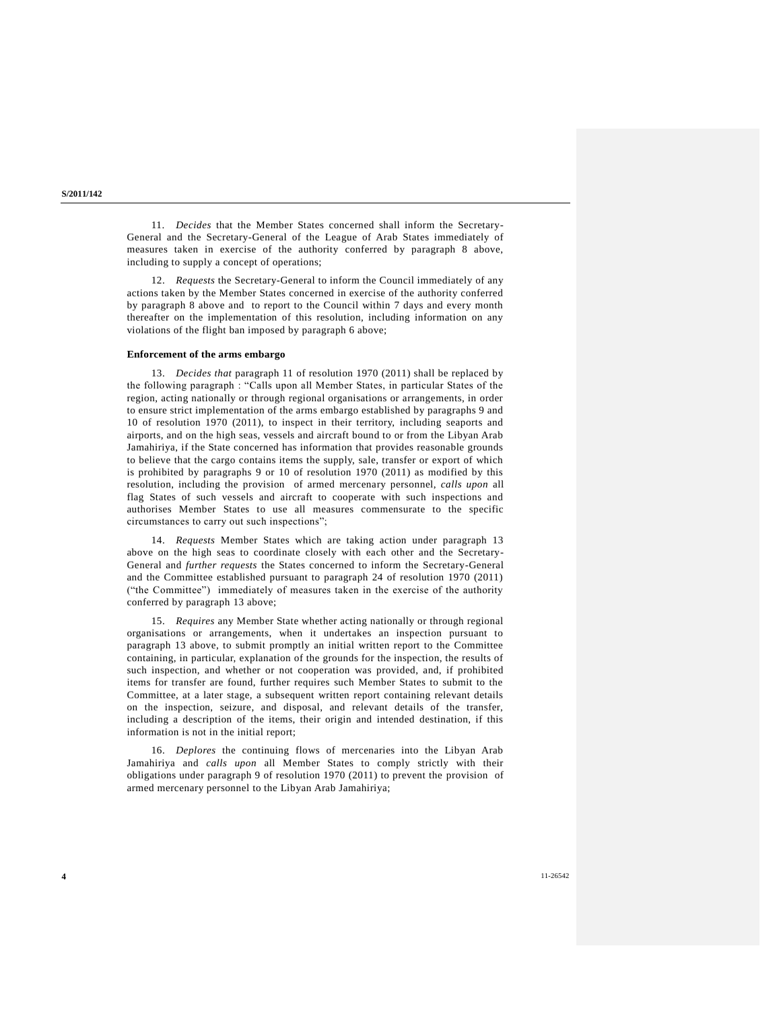11. *Decides* that the Member States concerned shall inform the Secretary-General and the Secretary-General of the League of Arab States immediately of measures taken in exercise of the authority conferred by paragraph 8 above, including to supply a concept of operations;

12. *Requests* the Secretary-General to inform the Council immediately of any actions taken by the Member States concerned in exercise of the authority conferred by paragraph 8 above and to report to the Council within 7 days and every month thereafter on the implementation of this resolution, including information on any violations of the flight ban imposed by paragraph 6 above;

#### **Enforcement of the arms embargo**

13. *Decides that* paragraph 11 of resolution 1970 (2011) shall be replaced by the following paragraph : "Calls upon all Member States, in particular States of the region, acting nationally or through regional organisations or arrangements, in order to ensure strict implementation of the arms embargo established by paragraphs 9 and 10 of resolution 1970 (2011), to inspect in their territory, including seaports and airports, and on the high seas, vessels and aircraft bound to or from the Libyan Arab Jamahiriya, if the State concerned has information that provides reasonable grounds to believe that the cargo contains items the supply, sale, transfer or export of which is prohibited by paragraphs 9 or 10 of resolution 1970 (2011) as modified by this resolution, including the provision of armed mercenary personnel, *calls upon* all flag States of such vessels and aircraft to cooperate with such inspections and authorises Member States to use all measures commensurate to the specific circumstances to carry out such inspections";

14. *Requests* Member States which are taking action under paragraph 13 above on the high seas to coordinate closely with each other and the Secretary-General and *further requests* the States concerned to inform the Secretary-General and the Committee established pursuant to paragraph 24 of resolution 1970 (2011) ("the Committee") immediately of measures taken in the exercise of the authority conferred by paragraph 13 above;

15. *Requires* any Member State whether acting nationally or through regional organisations or arrangements, when it undertakes an inspection pursuant to paragraph 13 above, to submit promptly an initial written report to the Committee containing, in particular, explanation of the grounds for the inspection, the results of such inspection, and whether or not cooperation was provided, and, if prohibited items for transfer are found, further requires such Member States to submit to the Committee, at a later stage, a subsequent written report containing relevant details on the inspection, seizure, and disposal, and relevant details of the transfer, including a description of the items, their origin and intended destination, if this information is not in the initial report;

16. *Deplores* the continuing flows of mercenaries into the Libyan Arab Jamahiriya and *calls upon* all Member States to comply strictly with their obligations under paragraph 9 of resolution 1970 (2011) to prevent the provision of armed mercenary personnel to the Libyan Arab Jamahiriya;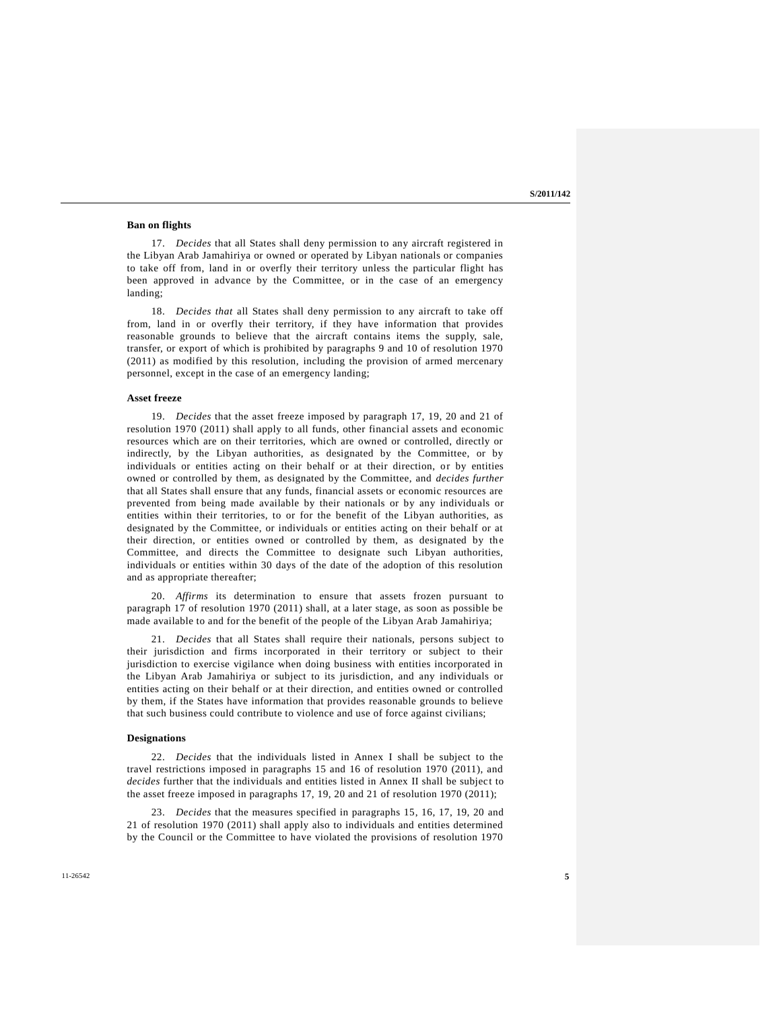#### **Ban on flights**

17. *Decides* that all States shall deny permission to any aircraft registered in the Libyan Arab Jamahiriya or owned or operated by Libyan nationals or companies to take off from, land in or overfly their territory unless the particular flight has been approved in advance by the Committee, or in the case of an emergency landing;

18. *Decides that* all States shall deny permission to any aircraft to take off from, land in or overfly their territory, if they have information that provides reasonable grounds to believe that the aircraft contains items the supply, sale, transfer, or export of which is prohibited by paragraphs 9 and 10 of resolution 1970 (2011) as modified by this resolution, including the provision of armed mercenary personnel, except in the case of an emergency landing;

#### **Asset freeze**

19. *Decides* that the asset freeze imposed by paragraph 17, 19, 20 and 21 of resolution 1970 (2011) shall apply to all funds, other financial assets and economic resources which are on their territories, which are owned or controlled, directly or indirectly, by the Libyan authorities, as designated by the Committee, or by individuals or entities acting on their behalf or at their direction, or by entities owned or controlled by them, as designated by the Committee, and *decides further* that all States shall ensure that any funds, financial assets or economic resources are prevented from being made available by their nationals or by any individuals or entities within their territories, to or for the benefit of the Libyan authorities, as designated by the Committee, or individuals or entities acting on their behalf or at their direction, or entities owned or controlled by them, as designated by the Committee, and directs the Committee to designate such Libyan authorities, individuals or entities within 30 days of the date of the adoption of this resolution and as appropriate thereafter;

20. *Affirms* its determination to ensure that assets frozen pursuant to paragraph 17 of resolution 1970 (2011) shall, at a later stage, as soon as possible be made available to and for the benefit of the people of the Libyan Arab Jamahiriya;

21. *Decides* that all States shall require their nationals, persons subject to their jurisdiction and firms incorporated in their territory or subject to their jurisdiction to exercise vigilance when doing business with entities incorporated in the Libyan Arab Jamahiriya or subject to its jurisdiction, and any individuals or entities acting on their behalf or at their direction, and entities owned or controlled by them, if the States have information that provides reasonable grounds to believe that such business could contribute to violence and use of force against civilians;

### **Designations**

22. *Decides* that the individuals listed in Annex I shall be subject to the travel restrictions imposed in paragraphs 15 and 16 of resolution 1970 (2011), and *decides* further that the individuals and entities listed in Annex II shall be subject to the asset freeze imposed in paragraphs 17, 19, 20 and 21 of resolution 1970 (2011);

23. *Decides* that the measures specified in paragraphs 15, 16, 17, 19, 20 and 21 of resolution 1970 (2011) shall apply also to individuals and entities determined by the Council or the Committee to have violated the provisions of resolution 1970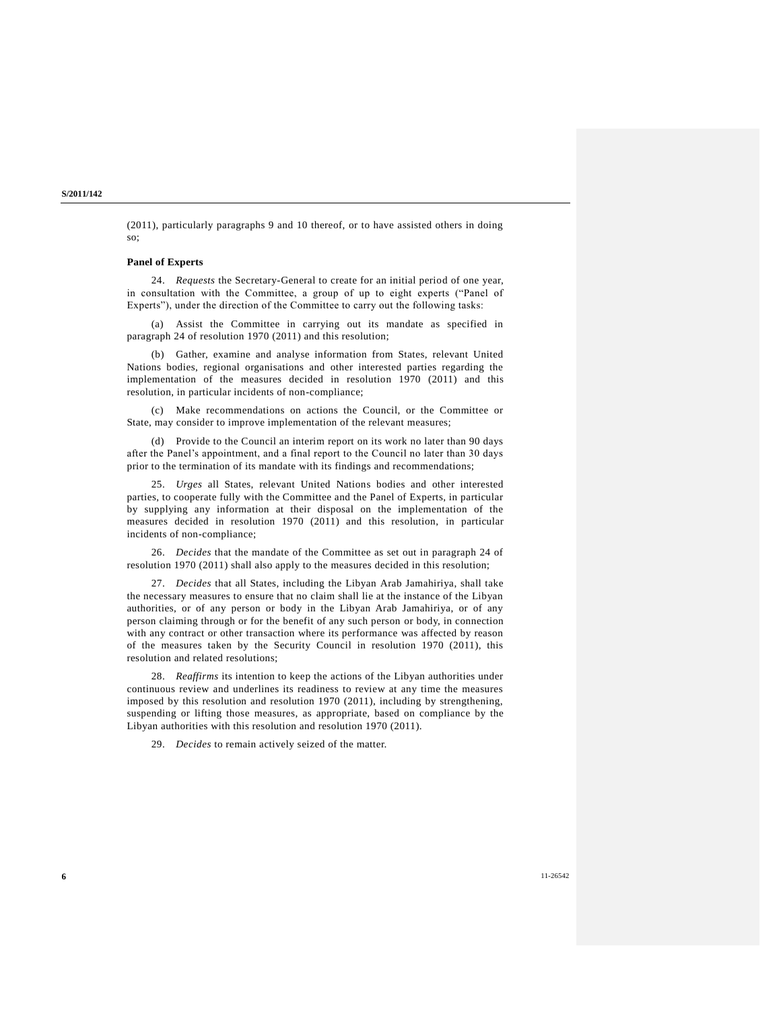(2011), particularly paragraphs 9 and 10 thereof, or to have assisted others in doing so;

#### **Panel of Experts**

24. *Requests* the Secretary-General to create for an initial period of one year, in consultation with the Committee, a group of up to eight experts ("Panel of Experts"), under the direction of the Committee to carry out the following tasks:

(a) Assist the Committee in carrying out its mandate as specified in paragraph 24 of resolution 1970 (2011) and this resolution;

(b) Gather, examine and analyse information from States, relevant United Nations bodies, regional organisations and other interested parties regarding the implementation of the measures decided in resolution 1970 (2011) and this resolution, in particular incidents of non-compliance;

(c) Make recommendations on actions the Council, or the Committee or State, may consider to improve implementation of the relevant measures;

(d) Provide to the Council an interim report on its work no later than 90 days after the Panel's appointment, and a final report to the Council no later than 30 days prior to the termination of its mandate with its findings and recommendations;

25. *Urges* all States, relevant United Nations bodies and other interested parties, to cooperate fully with the Committee and the Panel of Experts, in particular by supplying any information at their disposal on the implementation of the measures decided in resolution 1970 (2011) and this resolution, in particular incidents of non-compliance;

26. *Decides* that the mandate of the Committee as set out in paragraph 24 of resolution 1970 (2011) shall also apply to the measures decided in this resolution;

27. *Decides* that all States, including the Libyan Arab Jamahiriya, shall take the necessary measures to ensure that no claim shall lie at the instance of the Libyan authorities, or of any person or body in the Libyan Arab Jamahiriya, or of any person claiming through or for the benefit of any such person or body, in connection with any contract or other transaction where its performance was affected by reason of the measures taken by the Security Council in resolution 1970 (2011), this resolution and related resolutions;

28. *Reaffirms* its intention to keep the actions of the Libyan authorities under continuous review and underlines its readiness to review at any time the measures imposed by this resolution and resolution 1970 (2011), including by strengthening, suspending or lifting those measures, as appropriate, based on compliance by the Libyan authorities with this resolution and resolution 1970 (2011).

29. *Decides* to remain actively seized of the matter.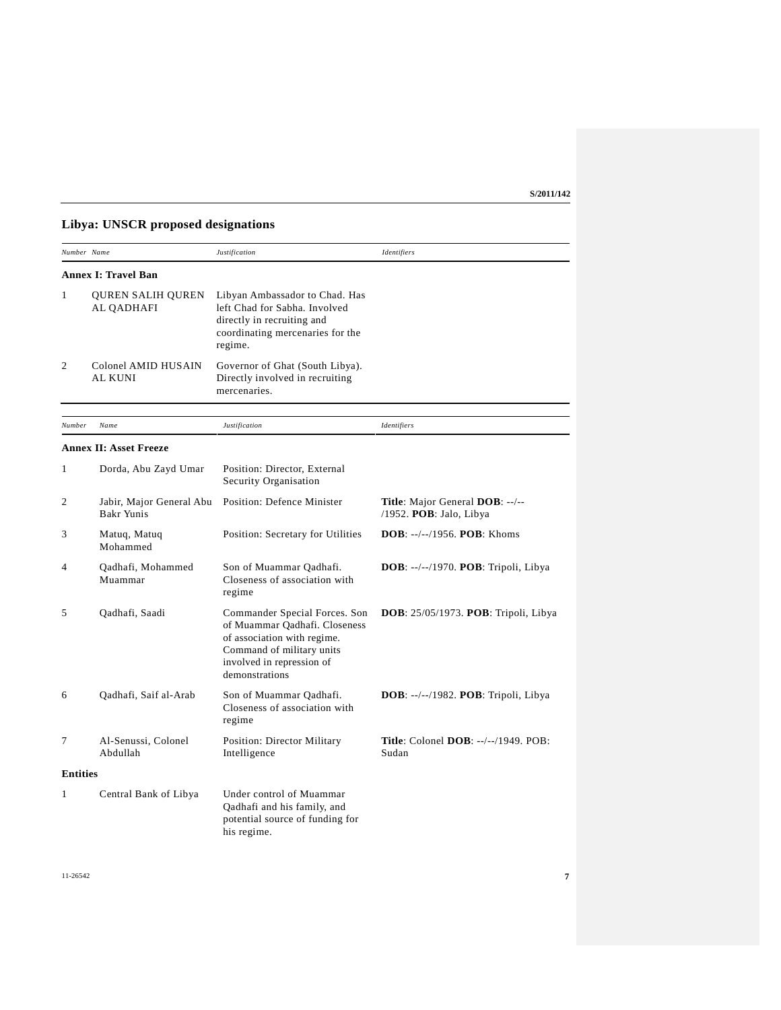## **S/2011/142**

#### *Number Name Justification Identifiers* **Annex I: Travel Ban** 1 QUREN SALIH QUREN AL QADHAFI Libyan Ambassador to Chad. Has left Chad for Sabha. Involved directly in recruiting and coordinating mercenaries for the regime. 2 Colonel AMID HUSAIN AL KUNI Governor of Ghat (South Libya). Directly involved in recruiting mercenaries. *Number Name Justification Identifiers* **Annex II: Asset Freeze** 1 Dorda, Abu Zayd Umar Position: Director, External Security Organisation 2 Jabir, Major General Abu Bakr Yunis Position: Defence Minister **Title**: Major General **DOB**: --/-- /1952. **POB**: Jalo, Libya 3 Matuq, Matuq Mohammed Position: Secretary for Utilities DOB: --/--/1956. POB: Khoms 4 Qadhafi, Mohammed Muammar Son of Muammar Qadhafi. Closeness of association with regime **DOB**: --/--/1970. **POB**: Tripoli, Libya 5 Qadhafi, Saadi Commander Special Forces. Son of Muammar Qadhafi. Closeness of association with regime. Command of military units involved in repression of demonstrations **DOB**: 25/05/1973. **POB**: Tripoli, Libya 6 Qadhafi, Saif al-Arab Son of Muammar Qadhafi. Closeness of association with regime **DOB**: --/--/1982. **POB**: Tripoli, Libya 7 Al-Senussi, Colonel Abdullah Position: Director Military Intelligence **Title**: Colonel **DOB**: --/--/1949. POB: Sudan **Entities** 1 Central Bank of Libya Under control of Muammar Qadhafi and his family, and potential source of funding for his regime.

## **Libya: UNSCR proposed designations**

11-26542 **7**